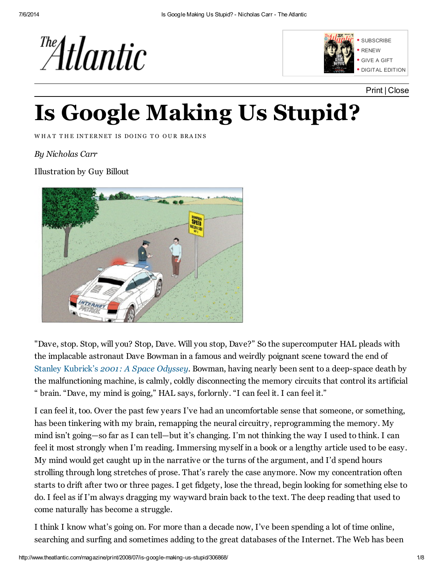



Print | Close

## Is Google Making Us Stupid?

WHAT THE INTERNET IS DOING TO OUR BRAINS

*By Nicholas Carr*

Illustration by Guy Billout



"Dave, stop. Stop, will you? Stop, Dave. Will you stop, Dave?" So the supercomputer HAL pleads with the implacable astronaut Dave Bowman in a famous and weirdly poignant scene toward the end of Stanley [Kubrick's](http://www.imdb.com/title/tt0062622/) *2001: A Space Odyssey*. Bowman, having nearly been sent to a deep-space death by the malfunctioning machine, is calmly, coldly disconnecting the memory circuits that control its artificial " brain. "Dave, my mind is going," HAL says, forlornly. "I can feel it. I can feel it."

I can feel it, too. Over the past few years I've had an uncomfortable sense that someone, or something, has been tinkering with my brain, remapping the neural circuitry, reprogramming the memory. My mind isn't going—so far as I can tell—but it's changing. I'm not thinking the way I used to think. I can feel it most strongly when I'm reading. Immersing myself in a book or a lengthy article used to be easy. My mind would get caught up in the narrative or the turns of the argument, and I'd spend hours strolling through long stretches of prose. That's rarely the case anymore. Now my concentration often starts to drift after two or three pages. I get fidgety, lose the thread, begin looking for something else to do. I feel as if I'm always dragging my wayward brain back to the text. The deep reading that used to come naturally has become a struggle.

I think I know what's going on. For more than a decade now, I've been spending a lot of time online, searching and surfing and sometimes adding to the great databases of the Internet. The Web has been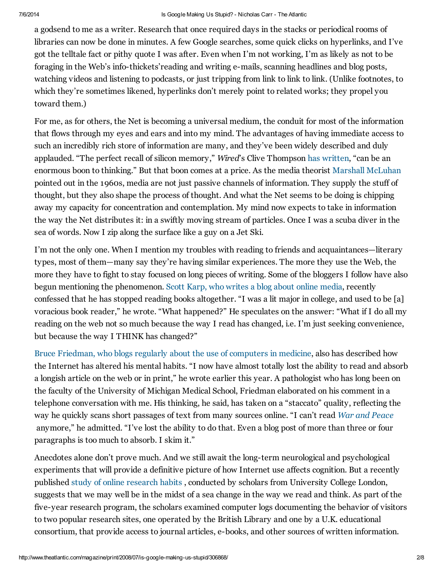a godsend to me as a writer. Research that once required days in the stacks or periodical rooms of libraries can now be done in minutes. A few Google searches, some quick clicks on hyperlinks, and I've got the telltale fact or pithy quote I was after. Even when I'm not working, I'm as likely as not to be foraging in the Web's info-thickets'reading and writing e-mails, scanning headlines and blog posts, watching videos and listening to podcasts, or just tripping from link to link to link. (Unlike footnotes, to which they're sometimes likened, hyperlinks don't merely point to related works; they propel you toward them.)

For me, as for others, the Net is becoming a universal medium, the conduit for most of the information that flows through my eyes and ears and into my mind. The advantages of having immediate access to such an incredibly rich store of information are many, and they've been widely described and duly applauded. "The perfect recall of silicon memory," *Wired*'s Clive Thompson has [written](http://www.wired.com/techbiz/people/magazine/15-10/st_thompson), "can be an enormous boon to thinking." But that boon comes at a price. As the media theorist Marshall [McLuhan](http://en.wikipedia.org/wiki/Marshall_McLuhan) pointed out in the 1960s, media are not just passive channels of information. They supply the stuff of thought, but they also shape the process of thought. And what the Net seems to be doing is chipping away my capacity for concentration and contemplation. My mind now expects to take in information the way the Net distributes it: in a swiftly moving stream of particles. Once I was a scuba diver in the sea of words. Now I zip along the surface like a guy on a Jet Ski.

I'm not the only one. When I mention my troubles with reading to friends and acquaintances—literary types, most of them—many say they're having similar experiences. The more they use the Web, the more they have to fight to stay focused on long pieces of writing. Some of the bloggers I follow have also begun mentioning the phenomenon. Scott Karp, who [writes](http://publishing2.com/) a blog about online media, recently confessed that he has stopped reading books altogether. "I was a lit major in college, and used to be [a] voracious book reader," he wrote. "What happened?" He speculates on the answer: "What if I do all my reading on the web not so much because the way I read has changed, i.e. I'm just seeking convenience, but because the way I THINK has changed?"

Bruce Friedman, who blogs regularly about the use of [computers](http://labsoftnews.typepad.com/) in medicine, also has described how the Internet has altered his mental habits. "I now have almost totally lost the ability to read and absorb a longish article on the web or in print," he wrote earlier this year. A pathologist who has long been on the faculty of the University of Michigan Medical School, Friedman elaborated on his comment in a telephone conversation with me. His thinking, he said, has taken on a "staccato" quality, reflecting the way he quickly scans short passages of text from many sources online. "I can't read *War and [Peace](http://www.amazon.com/exec/obidos/ISBN=0307266931/theatlanticmonthA/ref=nosim/)* anymore," he admitted. "I've lost the ability to do that. Even a blog post of more than three or four paragraphs is too much to absorb. I skim it."

Anecdotes alone don't prove much. And we still await the long-term neurological and psychological experiments that will provide a definitive picture of how Internet use affects cognition. But a recently published study of online [research](http://www.bl.uk/news/pdf/googlegen.pdf) habits , conducted by scholars from University College London, suggests that we may well be in the midst of a sea change in the way we read and think. As part of the five-year research program, the scholars examined computer logs documenting the behavior of visitors to two popular research sites, one operated by the British Library and one by a U.K. educational consortium, that provide access to journal articles, e-books, and other sources of written information.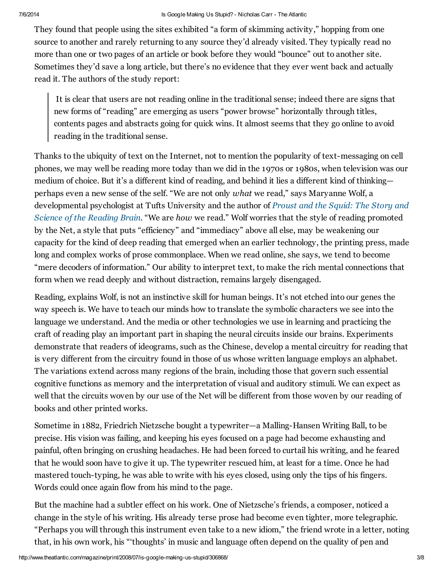They found that people using the sites exhibited "a form of skimming activity," hopping from one source to another and rarely returning to any source they'd already visited. They typically read no more than one or two pages of an article or book before they would "bounce" out to another site. Sometimes they'd save a long article, but there's no evidence that they ever went back and actually read it. The authors of the study report:

It is clear that users are not reading online in the traditional sense; indeed there are signs that new forms of "reading" are emerging as users "power browse" horizontally through titles, contents pages and abstracts going for quick wins. It almost seems that they go online to avoid reading in the traditional sense.

Thanks to the ubiquity of text on the Internet, not to mention the popularity of text-messaging on cell phones, we may well be reading more today than we did in the 1970s or 1980s, when television was our medium of choice. But it's a different kind of reading, and behind it lies a different kind of thinking perhaps even a new sense of the self. "We are not only *what* we read," says Maryanne Wolf, a [developmental](http://www.amazon.com/exec/obidos/ISBN=0060186399/theatlanticmonthA/ref=nosim/) psychologist at Tufts University and the author of *Proust and the Squid: The Story and Science of the Reading Brain*. "We are *how* we read." Wolf worries that the style of reading promoted by the Net, a style that puts "efficiency" and "immediacy" above all else, may be weakening our capacity for the kind of deep reading that emerged when an earlier technology, the printing press, made long and complex works of prose commonplace. When we read online, she says, we tend to become "mere decoders of information." Our ability to interpret text, to make the rich mental connections that form when we read deeply and without distraction, remains largely disengaged.

Reading, explains Wolf, is not an instinctive skill for human beings. It's not etched into our genes the way speech is. We have to teach our minds how to translate the symbolic characters we see into the language we understand. And the media or other technologies we use in learning and practicing the craft of reading play an important part in shaping the neural circuits inside our brains. Experiments demonstrate that readers of ideograms, such as the Chinese, develop a mental circuitry for reading that is very different from the circuitry found in those of us whose written language employs an alphabet. The variations extend across many regions of the brain, including those that govern such essential cognitive functions as memory and the interpretation of visual and auditory stimuli. We can expect as well that the circuits woven by our use of the Net will be different from those woven by our reading of books and other printed works.

Sometime in 1882, Friedrich Nietzsche bought a typewriter—a Malling-Hansen Writing Ball, to be precise. His vision was failing, and keeping his eyes focused on a page had become exhausting and painful, often bringing on crushing headaches. He had been forced to curtail his writing, and he feared that he would soon have to give it up. The typewriter rescued him, at least for a time. Once he had mastered touch-typing, he was able to write with his eyes closed, using only the tips of his fingers. Words could once again flow from his mind to the page.

But the machine had a subtler effect on his work. One of Nietzsche's friends, a composer, noticed a change in the style of his writing. His already terse prose had become even tighter, more telegraphic. "Perhaps you will through this instrument even take to a new idiom," the friend wrote in a letter, noting that, in his own work, his "'thoughts' in music and language often depend on the quality of pen and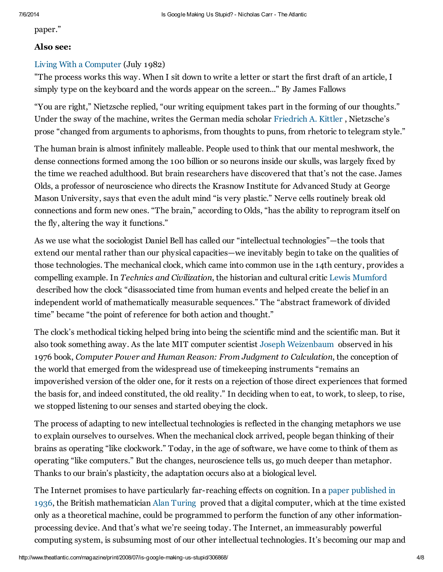## paper."

## Also see:

## Living With a [Computer](http://www.theatlantic.com/doc/198207/fallows-computer) (July 1982)

"The process works this way. When I sit down to write a letter or start the first draft of an article, I simply type on the keyboard and the words appear on the screen..." By James Fallows

"You are right," Nietzsche replied, "our writing equipment takes part in the forming of our thoughts." Under the sway of the machine, writes the German media scholar [Friedrich](http://en.wikipedia.org/wiki/Friedrich_A._Kittler) A. Kittler , Nietzsche's prose "changed from arguments to aphorisms, from thoughts to puns, from rhetoric to telegram style."

The human brain is almost infinitely malleable. People used to think that our mental meshwork, the dense connections formed among the 100 billion or so neurons inside our skulls, was largely fixed by the time we reached adulthood. But brain researchers have discovered that that's not the case. James Olds, a professor of neuroscience who directs the Krasnow Institute for Advanced Study at George Mason University, says that even the adult mind "is very plastic." Nerve cells routinely break old connections and form new ones. "The brain," according to Olds, "has the ability to reprogram itself on the fly, altering the way it functions."

As we use what the sociologist Daniel Bell has called our "intellectual technologies"—the tools that extend our mental rather than our physical capacities—we inevitably begin to take on the qualities of those technologies. The mechanical clock, which came into common use in the 14th century, provides a compelling example. In *Technics and Civilization*, the historian and cultural critic Lewis [Mumford](http://en.wikipedia.org/wiki/Lewis_Mumford) described how the clock "disassociated time from human events and helped create the belief in an independent world of mathematically measurable sequences." The "abstract framework of divided time" became "the point of reference for both action and thought."

The clock's methodical ticking helped bring into being the scientific mind and the scientific man. But it also took something away. As the late MIT computer scientist Joseph [Weizenbaum](http://en.wikipedia.org/wiki/Joseph_Weizenbaum) observed in his 1976 book, *Computer Power and Human Reason: From Judgment to Calculation*, the conception of the world that emerged from the widespread use of timekeeping instruments "remains an impoverished version of the older one, for it rests on a rejection of those direct experiences that formed the basis for, and indeed constituted, the old reality." In deciding when to eat, to work, to sleep, to rise, we stopped listening to our senses and started obeying the clock.

The process of adapting to new intellectual technologies is reflected in the changing metaphors we use to explain ourselves to ourselves. When the mechanical clock arrived, people began thinking of their brains as operating "like clockwork." Today, in the age of software, we have come to think of them as operating "like computers." But the changes, neuroscience tells us, go much deeper than metaphor. Thanks to our brain's plasticity, the adaptation occurs also at a biological level.

The Internet promises to have particularly far-reaching effects on cognition. In a paper published in 1936, the British [mathematician](http://www.thocp.net/biographies/papers/turing_oncomputablenumbers_1936.pdf) Alan [Turing](http://en.wikipedia.org/wiki/Alan_Turing) proved that a digital computer, which at the time existed only as a theoretical machine, could be programmed to perform the function of any other informationprocessing device. And that's what we're seeing today. The Internet, an immeasurably powerful computing system, is subsuming most of our other intellectual technologies. It's becoming our map and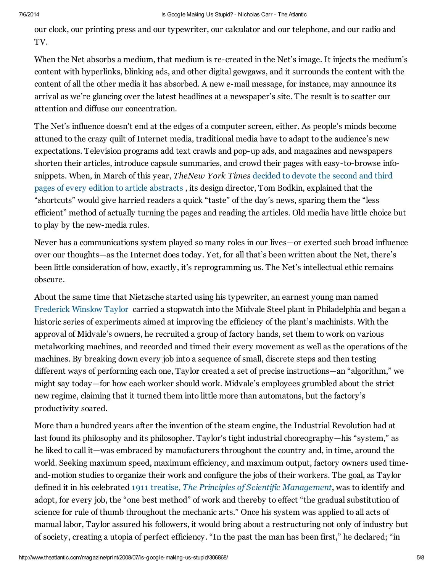our clock, our printing press and our typewriter, our calculator and our telephone, and our radio and TV.

When the Net absorbs a medium, that medium is re-created in the Net's image. It injects the medium's content with hyperlinks, blinking ads, and other digital gewgaws, and it surrounds the content with the content of all the other media it has absorbed. A new e-mail message, for instance, may announce its arrival as we're glancing over the latest headlines at a newspaper's site. The result is to scatter our attention and diffuse our concentration.

The Net's influence doesn't end at the edges of a computer screen, either. As people's minds become attuned to the crazy quilt of Internet media, traditional media have to adapt to the audience's new expectations. Television programs add text crawls and pop-up ads, and magazines and newspapers shorten their articles, introduce capsule summaries, and crowd their pages with easy-to-browse infosnippets. When, in March of this year, *TheNew York Times* decided to devote the second and third pages of every edition to article abstracts , its design director, Tom Bodkin, [explained](http://www.nytimes.com/2008/04/06/opinion/06pubed.html?pagewanted=2%amp%sq=Tom%20Bodkin%amp%st=cse%amp%scp=4) that the "shortcuts" would give harried readers a quick "taste" of the day's news, sparing them the "less efficient" method of actually turning the pages and reading the articles. Old media have little choice but to play by the new-media rules.

Never has a communications system played so many roles in our lives—or exerted such broad influence over our thoughts—as the Internet does today. Yet, for all that's been written about the Net, there's been little consideration of how, exactly, it's reprogramming us. The Net's intellectual ethic remains obscure.

About the same time that Nietzsche started using his typewriter, an earnest young man named [Frederick](http://en.wikipedia.org/wiki/Frederick_Winslow_Taylor) Winslow Taylor carried a stopwatch into the Midvale Steel plant in Philadelphia and began a historic series of experiments aimed at improving the efficiency of the plant's machinists. With the approval of Midvale's owners, he recruited a group of factory hands, set them to work on various metalworking machines, and recorded and timed their every movement as well as the operations of the machines. By breaking down every job into a sequence of small, discrete steps and then testing different ways of performing each one, Taylor created a set of precise instructions—an "algorithm," we might say today—for how each worker should work. Midvale's employees grumbled about the strict new regime, claiming that it turned them into little more than automatons, but the factory's productivity soared.

More than a hundred years after the invention of the steam engine, the Industrial Revolution had at last found its philosophy and its philosopher. Taylor's tight industrial choreography—his "system," as he liked to call it—was embraced by manufacturers throughout the country and, in time, around the world. Seeking maximum speed, maximum efficiency, and maximum output, factory owners used timeand-motion studies to organize their work and configure the jobs of their workers. The goal, as Taylor defined it in his celebrated 1911 treatise, *The Principles of Scientific [Management](http://www.eldritchpress.org/fwt/ti.html)*, was to identify and adopt, for every job, the "one best method" of work and thereby to effect "the gradual substitution of science for rule of thumb throughout the mechanic arts." Once his system was applied to all acts of manual labor, Taylor assured his followers, it would bring about a restructuring not only of industry but of society, creating a utopia of perfect efficiency. "In the past the man has been first," he declared; "in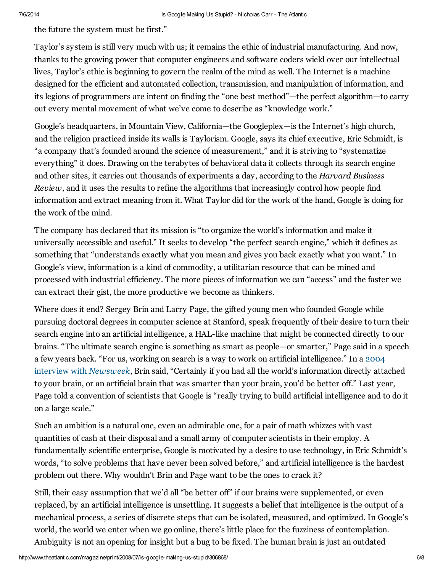the future the system must be first."

Taylor's system is still very much with us; it remains the ethic of industrial manufacturing. And now, thanks to the growing power that computer engineers and software coders wield over our intellectual lives, Taylor's ethic is beginning to govern the realm of the mind as well. The Internet is a machine designed for the efficient and automated collection, transmission, and manipulation of information, and its legions of programmers are intent on finding the "one best method"—the perfect algorithm—to carry out every mental movement of what we've come to describe as "knowledge work."

Google's headquarters, in Mountain View, California—the Googleplex—is the Internet's high church, and the religion practiced inside its walls is Taylorism. Google, says its chief executive, Eric Schmidt, is "a company that's founded around the science of measurement," and it is striving to "systematize everything" it does. Drawing on the terabytes of behavioral data it collects through its search engine and other sites, it carries out thousands of experiments a day, according to the *Harvard Business Review*, and it uses the results to refine the algorithms that increasingly control how people find information and extract meaning from it. What Taylor did for the work of the hand, Google is doing for the work of the mind.

The company has declared that its mission is "to organize the world's information and make it universally accessible and useful." It seeks to develop "the perfect search engine," which it defines as something that "understands exactly what you mean and gives you back exactly what you want." In Google's view, information is a kind of commodity, a utilitarian resource that can be mined and processed with industrial efficiency. The more pieces of information we can "access" and the faster we can extract their gist, the more productive we become as thinkers.

Where does it end? Sergey Brin and Larry Page, the gifted young men who founded Google while pursuing doctoral degrees in computer science at Stanford, speak frequently of their desire to turn their search engine into an artificial intelligence, a HAL-like machine that might be connected directly to our brains. "The ultimate search engine is something as smart as people—or smarter," Page said in a speech a few years back. "For us, working on search is a way to work on artificial [intelligence."](http://www.newsweek.com/id/148272) In a 2004 interview with *Newsweek*, Brin said, "Certainly if you had all the world's information directly attached to your brain, or an artificial brain that was smarter than your brain, you'd be better off." Last year, Page told a convention of scientists that Google is "really trying to build artificial intelligence and to do it on a large scale."

Such an ambition is a natural one, even an admirable one, for a pair of math whizzes with vast quantities of cash at their disposal and a small army of computer scientists in their employ. A fundamentally scientific enterprise, Google is motivated by a desire to use technology, in Eric Schmidt's words, "to solve problems that have never been solved before," and artificial intelligence is the hardest problem out there. Why wouldn't Brin and Page want to be the ones to crack it?

Still, their easy assumption that we'd all "be better off" if our brains were supplemented, or even replaced, by an artificial intelligence is unsettling. It suggests a belief that intelligence is the output of a mechanical process, a series of discrete steps that can be isolated, measured, and optimized. In Google's world, the world we enter when we go online, there's little place for the fuzziness of contemplation. Ambiguity is not an opening for insight but a bug to be fixed. The human brain is just an outdated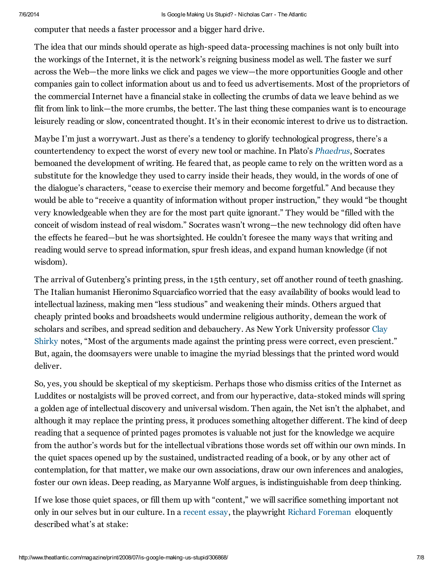computer that needs a faster processor and a bigger hard drive.

The idea that our minds should operate as high-speed data-processing machines is not only built into the workings of the Internet, it is the network's reigning business model as well. The faster we surf across the Web—the more links we click and pages we view—the more opportunities Google and other companies gain to collect information about us and to feed us advertisements. Most of the proprietors of the commercial Internet have a financial stake in collecting the crumbs of data we leave behind as we flit from link to link—the more crumbs, the better. The last thing these companies want is to encourage leisurely reading or slow, concentrated thought. It's in their economic interest to drive us to distraction.

Maybe I'm just a worrywart. Just as there's a tendency to glorify technological progress, there's a countertendency to expect the worst of every new tool or machine. In Plato's *[Phaedrus](http://www.amazon.com/exec/obidos/ISBN=0872202208/theatlanticmonthA/ref=nosim/)*, Socrates bemoaned the development of writing. He feared that, as people came to rely on the written word as a substitute for the knowledge they used to carry inside their heads, they would, in the words of one of the dialogue's characters, "cease to exercise their memory and become forgetful." And because they would be able to "receive a quantity of information without proper instruction," they would "be thought very knowledgeable when they are for the most part quite ignorant." They would be "filled with the conceit of wisdom instead of real wisdom." Socrates wasn't wrong—the new technology did often have the effects he feared—but he was shortsighted. He couldn't foresee the many ways that writing and reading would serve to spread information, spur fresh ideas, and expand human knowledge (if not wisdom).

The arrival of Gutenberg's printing press, in the 15th century, set off another round of teeth gnashing. The Italian humanist Hieronimo Squarciafico worried that the easy availability of books would lead to intellectual laziness, making men "less studious" and weakening their minds. Others argued that cheaply printed books and broadsheets would undermine religious authority, demean the work of scholars and scribes, and spread sedition and [debauchery.](http://en.wikipedia.org/wiki/Clay_Shirky) As New York University professor Clay Shirky notes, "Most of the arguments made against the printing press were correct, even prescient." But, again, the doomsayers were unable to imagine the myriad blessings that the printed word would deliver.

So, yes, you should be skeptical of my skepticism. Perhaps those who dismiss critics of the Internet as Luddites or nostalgists will be proved correct, and from our hyperactive, data-stoked minds will spring a golden age of intellectual discovery and universal wisdom. Then again, the Net isn't the alphabet, and although it may replace the printing press, it produces something altogether different. The kind of deep reading that a sequence of printed pages promotes is valuable not just for the knowledge we acquire from the author's words but for the intellectual vibrations those words set off within our own minds. In the quiet spaces opened up by the sustained, undistracted reading of a book, or by any other act of contemplation, for that matter, we make our own associations, draw our own inferences and analogies, foster our own ideas. Deep reading, as Maryanne Wolf argues, is indistinguishable from deep thinking.

If we lose those quiet spaces, or fill them up with "content," we will sacrifice something important not only in our selves but in our culture. In a [recent](http://www.edge.org/3rd_culture/foreman05/foreman05_index.html) essay, the playwright Richard [Foreman](http://en.wikipedia.org/wiki/Richard_Foreman) eloquently described what's at stake: